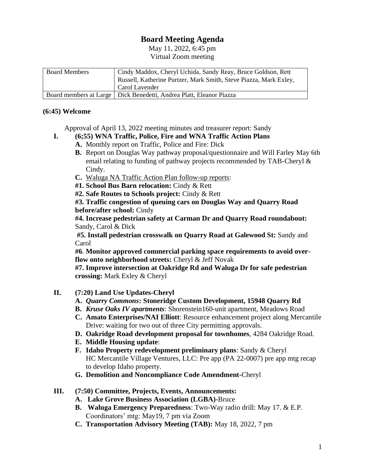## **Board Meeting Agenda**

May 11, 2022, 6:45 pm Virtual Zoom meeting

| <b>Board Members</b> | Cindy Maddox, Cheryl Uchida, Sandy Reay, Bruce Goldson, Rett          |
|----------------------|-----------------------------------------------------------------------|
|                      | Russell, Katherine Purtzer, Mark Smith, Steve Piazza, Mark Exley,     |
|                      | Carol Lavender                                                        |
|                      | Board members at Large   Dick Benedetti, Andrea Platt, Eleanor Piazza |

## **(6:45) Welcome**

- Approval of April 13, 2022 meeting minutes and treasurer report: Sandy
- **I. (6;55) WNA Traffic, Police, Fire and WNA Traffic Action Plans A.** Monthly report on Traffic, Police and Fire: Dick
	- **B.** Report on Douglas Way pathway proposal/questionnaire and Will Farley May 6th email relating to funding of pathway projects recommended by TAB-Cheryl & Cindy.
	- **C.** Waluga NA Traffic Action Plan follow-up reports:
	- **#1. School Bus Barn relocation:** Cindy & Rett
	- **#2. Safe Routes to Schools project:** Cindy & Rett

**#3. Traffic congestion of queuing cars on Douglas Way and Quarry Road before/after school:** Cindy

**#4. Increase pedestrian safety at Carman Dr and Quarry Road roundabout:**  Sandy, Carol & Dick

**#5. Install pedestrian crosswalk on Quarry Road at Galewood St:** Sandy and Carol

**#6**. **Monitor approved commercial parking space requirements to avoid overflow onto neighborhood streets:** Cheryl & Jeff Novak

**#7. Improve intersection at Oakridge Rd and Waluga Dr for safe pedestrian crossing:** Mark Exley & Cheryl

- **II. (7:20) Land Use Updates-Cheryl**
	- **A.** *Quarry Commons***: Stoneridge Custom Development, 15948 Quarry Rd**
	- **B.** *Kruse Oaks IV apartments*: Shorenstein160-unit apartment, Meadows Road
	- **C. Amato Enterprises/NAI Elliott**: Resource enhancement project along Mercantile Drive: waiting for two out of three City permitting approvals.
	- **D. Oakridge Road development proposal for townhomes**, 4284 Oakridge Road.
	- **E. Middle Housing update**:
	- **F. Idaho Property redevelopment preliminary plans**: Sandy & Cheryl HC Mercantile Village Ventures, LLC: Pre app (PA 22-0007) pre app mtg recap to develop Idaho property.
	- **G. Demolition and Noncompliance Code Amendment-**Cheryl
- **III. (7:50) Committee, Projects, Events, Announcements:** 
	- **A. Lake Grove Business Association (LGBA)-**Bruce
	- **B. Waluga Emergency Preparedness**: Two-Way radio drill: May 17. & E.P. Coordinators' mtg: May19, 7 pm via Zoom
	- **C. Transportation Advisory Meeting (TAB):** May 18, 2022, 7 pm